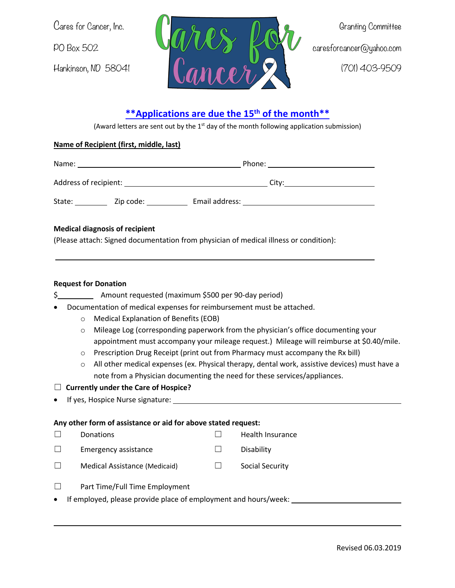

# **\*\*Applications are due the 15th of the month\*\***

(Award letters are sent out by the  $1<sup>st</sup>$  day of the month following application submission)

## **Name of Recipient (first, middle, last)**

| Name:                 |           |                | Phone: |  |
|-----------------------|-----------|----------------|--------|--|
| Address of recipient: |           | City:          |        |  |
| State:                | Zip code: | Email address: |        |  |

### **Medical diagnosis of recipient**

(Please attach: Signed documentation from physician of medical illness or condition):

### **Request for Donation**

| Amount requested (maximum \$500 per 90-day period) |  |
|----------------------------------------------------|--|
|                                                    |  |

- Documentation of medical expenses for reimbursement must be attached.
	- o Medical Explanation of Benefits (EOB)
	- $\circ$  Mileage Log (corresponding paperwork from the physician's office documenting your appointment must accompany your mileage request.) Mileage will reimburse at \$0.40/mile.
	- o Prescription Drug Receipt (print out from Pharmacy must accompany the Rx bill)
	- o All other medical expenses (ex. Physical therapy, dental work, assistive devices) must have a note from a Physician documenting the need for these services/appliances.

### ☐ **Currently under the Care of Hospice?**

If yes, Hospice Nurse signature: \_\_\_

### **Any other form of assistance or aid for above stated request:**

|           | Donations                                                       |  | Health Insurance |  |
|-----------|-----------------------------------------------------------------|--|------------------|--|
|           | <b>Emergency assistance</b>                                     |  | Disability       |  |
|           | Medical Assistance (Medicaid)                                   |  | Social Security  |  |
|           | Part Time/Full Time Employment                                  |  |                  |  |
| $\bullet$ | If employed, please provide place of employment and hours/week: |  |                  |  |